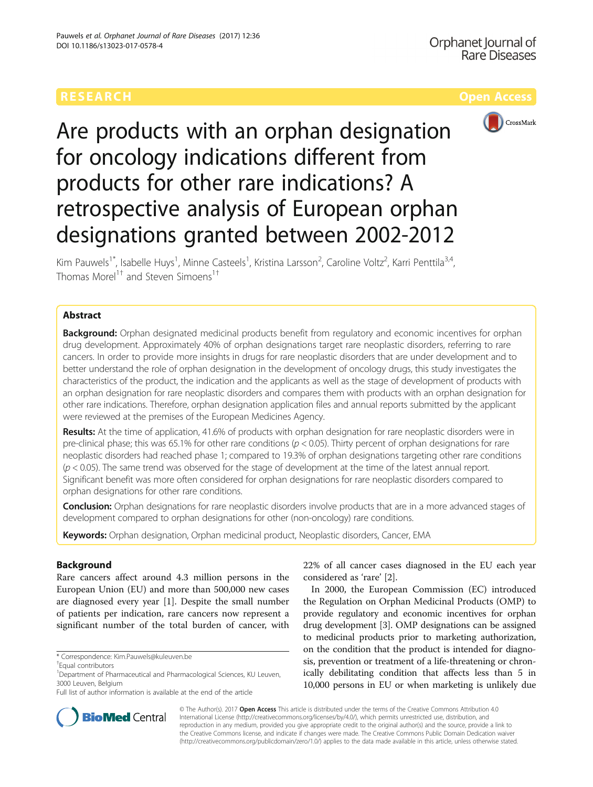

# Are products with an orphan designation for oncology indications different from products for other rare indications? A retrospective analysis of European orphan designations granted between 2002-2012

Kim Pauwels<sup>1\*</sup>, Isabelle Huys<sup>1</sup>, Minne Casteels<sup>1</sup>, Kristina Larsson<sup>2</sup>, Caroline Voltz<sup>2</sup>, Karri Penttila<sup>3,4</sup>, Thomas Morel<sup>1†</sup> and Steven Simoens<sup>1†</sup>

## Abstract

**Background:** Orphan designated medicinal products benefit from regulatory and economic incentives for orphan drug development. Approximately 40% of orphan designations target rare neoplastic disorders, referring to rare cancers. In order to provide more insights in drugs for rare neoplastic disorders that are under development and to better understand the role of orphan designation in the development of oncology drugs, this study investigates the characteristics of the product, the indication and the applicants as well as the stage of development of products with an orphan designation for rare neoplastic disorders and compares them with products with an orphan designation for other rare indications. Therefore, orphan designation application files and annual reports submitted by the applicant were reviewed at the premises of the European Medicines Agency.

Results: At the time of application, 41.6% of products with orphan designation for rare neoplastic disorders were in pre-clinical phase; this was 65.1% for other rare conditions ( $p < 0.05$ ). Thirty percent of orphan designations for rare neoplastic disorders had reached phase 1; compared to 19.3% of orphan designations targeting other rare conditions  $(p < 0.05)$ . The same trend was observed for the stage of development at the time of the latest annual report. Significant benefit was more often considered for orphan designations for rare neoplastic disorders compared to orphan designations for other rare conditions.

**Conclusion:** Orphan designations for rare neoplastic disorders involve products that are in a more advanced stages of development compared to orphan designations for other (non-oncology) rare conditions.

Keywords: Orphan designation, Orphan medicinal product, Neoplastic disorders, Cancer, EMA

## Background

Rare cancers affect around 4.3 million persons in the European Union (EU) and more than 500,000 new cases are diagnosed every year [\[1](#page-5-0)]. Despite the small number of patients per indication, rare cancers now represent a significant number of the total burden of cancer, with 22% of all cancer cases diagnosed in the EU each year considered as 'rare' [\[2](#page-5-0)].

In 2000, the European Commission (EC) introduced the Regulation on Orphan Medicinal Products (OMP) to provide regulatory and economic incentives for orphan drug development [\[3](#page-5-0)]. OMP designations can be assigned to medicinal products prior to marketing authorization, on the condition that the product is intended for diagnosis, prevention or treatment of a life-threatening or chronically debilitating condition that affects less than 5 in 10,000 persons in EU or when marketing is unlikely due



© The Author(s). 2017 **Open Access** This article is distributed under the terms of the Creative Commons Attribution 4.0 International License [\(http://creativecommons.org/licenses/by/4.0/](http://creativecommons.org/licenses/by/4.0/)), which permits unrestricted use, distribution, and reproduction in any medium, provided you give appropriate credit to the original author(s) and the source, provide a link to the Creative Commons license, and indicate if changes were made. The Creative Commons Public Domain Dedication waiver [\(http://creativecommons.org/publicdomain/zero/1.0/](http://creativecommons.org/publicdomain/zero/1.0/)) applies to the data made available in this article, unless otherwise stated.

<sup>\*</sup> Correspondence: [Kim.Pauwels@kuleuven.be](mailto:Kim.Pauwels@kuleuven.be) †

Equal contributors

<sup>&</sup>lt;sup>1</sup>Department of Pharmaceutical and Pharmacological Sciences, KU Leuven, 3000 Leuven, Belgium

Full list of author information is available at the end of the article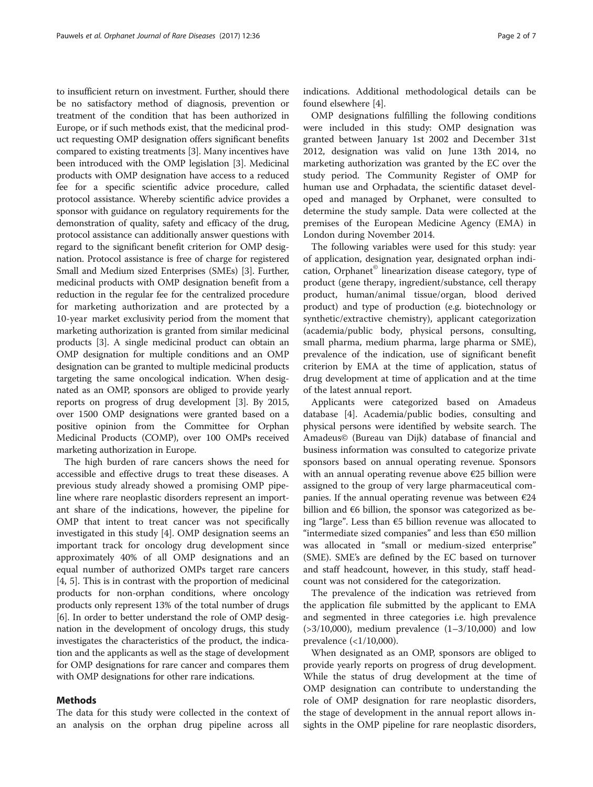to insufficient return on investment. Further, should there be no satisfactory method of diagnosis, prevention or treatment of the condition that has been authorized in Europe, or if such methods exist, that the medicinal product requesting OMP designation offers significant benefits compared to existing treatments [[3\]](#page-5-0). Many incentives have been introduced with the OMP legislation [\[3\]](#page-5-0). Medicinal products with OMP designation have access to a reduced fee for a specific scientific advice procedure, called protocol assistance. Whereby scientific advice provides a sponsor with guidance on regulatory requirements for the demonstration of quality, safety and efficacy of the drug, protocol assistance can additionally answer questions with regard to the significant benefit criterion for OMP designation. Protocol assistance is free of charge for registered Small and Medium sized Enterprises (SMEs) [[3](#page-5-0)]. Further, medicinal products with OMP designation benefit from a reduction in the regular fee for the centralized procedure for marketing authorization and are protected by a 10-year market exclusivity period from the moment that marketing authorization is granted from similar medicinal products [[3](#page-5-0)]. A single medicinal product can obtain an OMP designation for multiple conditions and an OMP designation can be granted to multiple medicinal products targeting the same oncological indication. When designated as an OMP, sponsors are obliged to provide yearly reports on progress of drug development [\[3](#page-5-0)]. By 2015, over 1500 OMP designations were granted based on a positive opinion from the Committee for Orphan Medicinal Products (COMP), over 100 OMPs received marketing authorization in Europe.

The high burden of rare cancers shows the need for accessible and effective drugs to treat these diseases. A previous study already showed a promising OMP pipeline where rare neoplastic disorders represent an important share of the indications, however, the pipeline for OMP that intent to treat cancer was not specifically investigated in this study [[4\]](#page-5-0). OMP designation seems an important track for oncology drug development since approximately 40% of all OMP designations and an equal number of authorized OMPs target rare cancers [[4, 5\]](#page-5-0). This is in contrast with the proportion of medicinal products for non-orphan conditions, where oncology products only represent 13% of the total number of drugs [[6\]](#page-5-0). In order to better understand the role of OMP designation in the development of oncology drugs, this study investigates the characteristics of the product, the indication and the applicants as well as the stage of development for OMP designations for rare cancer and compares them with OMP designations for other rare indications.

### Methods

The data for this study were collected in the context of an analysis on the orphan drug pipeline across all indications. Additional methodological details can be found elsewhere [\[4](#page-5-0)].

OMP designations fulfilling the following conditions were included in this study: OMP designation was granted between January 1st 2002 and December 31st 2012, designation was valid on June 13th 2014, no marketing authorization was granted by the EC over the study period. The Community Register of OMP for human use and Orphadata, the scientific dataset developed and managed by Orphanet, were consulted to determine the study sample. Data were collected at the premises of the European Medicine Agency (EMA) in London during November 2014.

The following variables were used for this study: year of application, designation year, designated orphan indication, Orphanet© linearization disease category, type of product (gene therapy, ingredient/substance, cell therapy product, human/animal tissue/organ, blood derived product) and type of production (e.g. biotechnology or synthetic/extractive chemistry), applicant categorization (academia/public body, physical persons, consulting, small pharma, medium pharma, large pharma or SME), prevalence of the indication, use of significant benefit criterion by EMA at the time of application, status of drug development at time of application and at the time of the latest annual report.

Applicants were categorized based on Amadeus database [[4\]](#page-5-0). Academia/public bodies, consulting and physical persons were identified by website search. The Amadeus© (Bureau van Dijk) database of financial and business information was consulted to categorize private sponsors based on annual operating revenue. Sponsors with an annual operating revenue above  $\epsilon$ 25 billion were assigned to the group of very large pharmaceutical companies. If the annual operating revenue was between  $\epsilon$ 24 billion and €6 billion, the sponsor was categorized as being "large". Less than €5 billion revenue was allocated to "intermediate sized companies" and less than €50 million was allocated in "small or medium-sized enterprise" (SME). SME's are defined by the EC based on turnover and staff headcount, however, in this study, staff headcount was not considered for the categorization.

The prevalence of the indication was retrieved from the application file submitted by the applicant to EMA and segmented in three categories i.e. high prevalence (>3/10,000), medium prevalence (1–3/10,000) and low prevalence (<1/10,000).

When designated as an OMP, sponsors are obliged to provide yearly reports on progress of drug development. While the status of drug development at the time of OMP designation can contribute to understanding the role of OMP designation for rare neoplastic disorders, the stage of development in the annual report allows insights in the OMP pipeline for rare neoplastic disorders,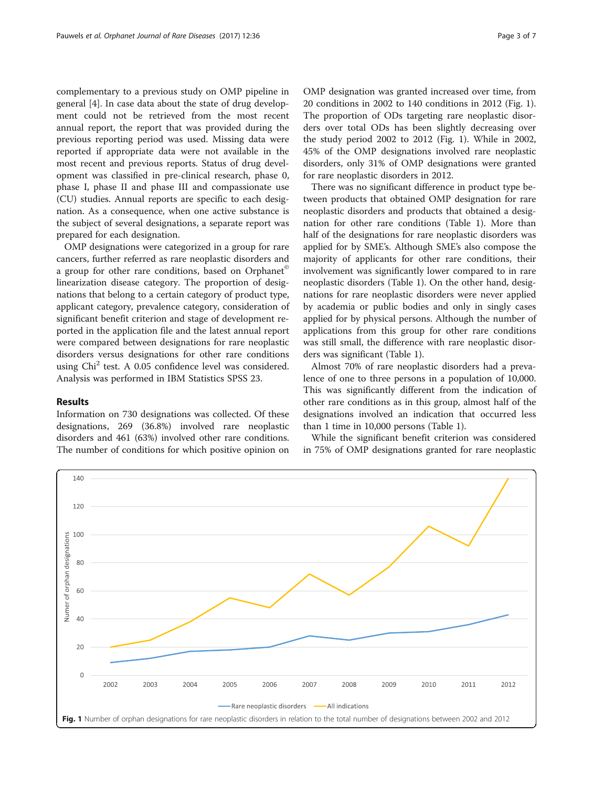complementary to a previous study on OMP pipeline in general [[4](#page-5-0)]. In case data about the state of drug development could not be retrieved from the most recent annual report, the report that was provided during the previous reporting period was used. Missing data were reported if appropriate data were not available in the most recent and previous reports. Status of drug development was classified in pre-clinical research, phase 0, phase I, phase II and phase III and compassionate use (CU) studies. Annual reports are specific to each designation. As a consequence, when one active substance is the subject of several designations, a separate report was prepared for each designation.

OMP designations were categorized in a group for rare cancers, further referred as rare neoplastic disorders and a group for other rare conditions, based on Orphanet<sup>®</sup> linearization disease category. The proportion of designations that belong to a certain category of product type, applicant category, prevalence category, consideration of significant benefit criterion and stage of development reported in the application file and the latest annual report were compared between designations for rare neoplastic disorders versus designations for other rare conditions using Chi<sup>2</sup> test. A 0.05 confidence level was considered. Analysis was performed in IBM Statistics SPSS 23.

#### Results

Information on 730 designations was collected. Of these designations, 269 (36.8%) involved rare neoplastic disorders and 461 (63%) involved other rare conditions. The number of conditions for which positive opinion on for rare neoplastic disorders in 2012. There was no significant difference in product type between products that obtained OMP designation for rare neoplastic disorders and products that obtained a designation for other rare conditions (Table [1\)](#page-3-0). More than half of the designations for rare neoplastic disorders was applied for by SME's. Although SME's also compose the majority of applicants for other rare conditions, their involvement was significantly lower compared to in rare neoplastic disorders (Table [1](#page-3-0)). On the other hand, designations for rare neoplastic disorders were never applied by academia or public bodies and only in singly cases applied for by physical persons. Although the number of applications from this group for other rare conditions was still small, the difference with rare neoplastic disorders was significant (Table [1\)](#page-3-0).

disorders, only 31% of OMP designations were granted

Almost 70% of rare neoplastic disorders had a prevalence of one to three persons in a population of 10,000. This was significantly different from the indication of other rare conditions as in this group, almost half of the designations involved an indication that occurred less than 1 time in 10,000 persons (Table [1](#page-3-0)).

While the significant benefit criterion was considered in 75% of OMP designations granted for rare neoplastic

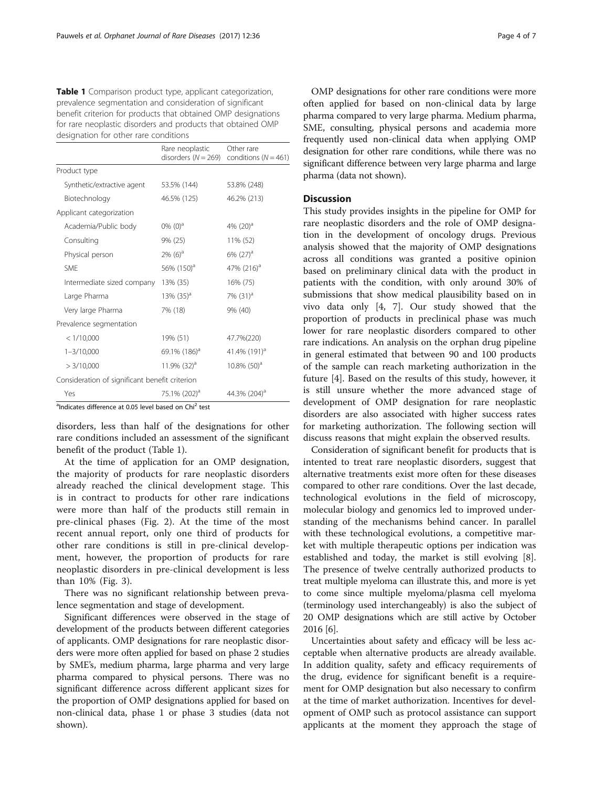<span id="page-3-0"></span>Table 1 Comparison product type, applicant categorization, prevalence segmentation and consideration of significant benefit criterion for products that obtained OMP designations for rare neoplastic disorders and products that obtained OMP designation for other rare conditions

|                                                | Rare neoplastic<br>disorders $(N = 269)$ | Other rare<br>conditions ( $N = 461$ ) |
|------------------------------------------------|------------------------------------------|----------------------------------------|
| Product type                                   |                                          |                                        |
| Synthetic/extractive agent                     | 53.5% (144)                              | 53.8% (248)                            |
| Biotechnology                                  | 46.5% (125)                              | 46.2% (213)                            |
| Applicant categorization                       |                                          |                                        |
| Academia/Public body                           | 0% $(0)^a$                               | 4% $(20)^a$                            |
| Consulting                                     | 9% (25)                                  | 11% (52)                               |
| Physical person                                | $2\%$ (6) <sup>a</sup>                   | $6\%$ (27) <sup>a</sup>                |
| SMF                                            | 56% (150) <sup>a</sup>                   | 47% $(216)^a$                          |
| Intermediate sized company                     | 13% (35)                                 | 16% (75)                               |
| Large Pharma                                   | $13\%$ (35) <sup>a</sup>                 | 7% (31) <sup>a</sup>                   |
| Very large Pharma                              | 7% (18)                                  | 9% (40)                                |
| Prevalence segmentation                        |                                          |                                        |
| < 1/10,000                                     | 19% (51)                                 | 47.7%(220)                             |
| $1 - 3/10,000$                                 | 69.1% $(186)^{a}$                        | 41.4% (191) <sup>a</sup>               |
| > 3/10,000                                     | 11.9% $(32)^a$                           | $10.8\%$ (50) <sup>a</sup>             |
| Consideration of significant benefit criterion |                                          |                                        |
| Yes                                            | 75.1% (202) <sup>a</sup>                 | 44.3% (204) <sup>a</sup>               |

<sup>a</sup>Indicates difference at 0.05 level based on Chi<sup>2</sup> test

disorders, less than half of the designations for other rare conditions included an assessment of the significant benefit of the product (Table 1).

At the time of application for an OMP designation, the majority of products for rare neoplastic disorders already reached the clinical development stage. This is in contract to products for other rare indications were more than half of the products still remain in pre-clinical phases (Fig. [2\)](#page-4-0). At the time of the most recent annual report, only one third of products for other rare conditions is still in pre-clinical development, however, the proportion of products for rare neoplastic disorders in pre-clinical development is less than 10% (Fig. [3](#page-4-0)).

There was no significant relationship between prevalence segmentation and stage of development.

Significant differences were observed in the stage of development of the products between different categories of applicants. OMP designations for rare neoplastic disorders were more often applied for based on phase 2 studies by SME's, medium pharma, large pharma and very large pharma compared to physical persons. There was no significant difference across different applicant sizes for the proportion of OMP designations applied for based on non-clinical data, phase 1 or phase 3 studies (data not shown).

OMP designations for other rare conditions were more often applied for based on non-clinical data by large pharma compared to very large pharma. Medium pharma, SME, consulting, physical persons and academia more frequently used non-clinical data when applying OMP designation for other rare conditions, while there was no significant difference between very large pharma and large pharma (data not shown).

#### **Discussion**

This study provides insights in the pipeline for OMP for rare neoplastic disorders and the role of OMP designation in the development of oncology drugs. Previous analysis showed that the majority of OMP designations across all conditions was granted a positive opinion based on preliminary clinical data with the product in patients with the condition, with only around 30% of submissions that show medical plausibility based on in vivo data only [[4](#page-5-0), [7\]](#page-6-0). Our study showed that the proportion of products in preclinical phase was much lower for rare neoplastic disorders compared to other rare indications. An analysis on the orphan drug pipeline in general estimated that between 90 and 100 products of the sample can reach marketing authorization in the future [[4\]](#page-5-0). Based on the results of this study, however, it is still unsure whether the more advanced stage of development of OMP designation for rare neoplastic disorders are also associated with higher success rates for marketing authorization. The following section will discuss reasons that might explain the observed results.

Consideration of significant benefit for products that is intented to treat rare neoplastic disorders, suggest that alternative treatments exist more often for these diseases compared to other rare conditions. Over the last decade, technological evolutions in the field of microscopy, molecular biology and genomics led to improved understanding of the mechanisms behind cancer. In parallel with these technological evolutions, a competitive market with multiple therapeutic options per indication was established and today, the market is still evolving [\[8](#page-6-0)]. The presence of twelve centrally authorized products to treat multiple myeloma can illustrate this, and more is yet to come since multiple myeloma/plasma cell myeloma (terminology used interchangeably) is also the subject of 20 OMP designations which are still active by October 2016 [[6\]](#page-5-0).

Uncertainties about safety and efficacy will be less acceptable when alternative products are already available. In addition quality, safety and efficacy requirements of the drug, evidence for significant benefit is a requirement for OMP designation but also necessary to confirm at the time of market authorization. Incentives for development of OMP such as protocol assistance can support applicants at the moment they approach the stage of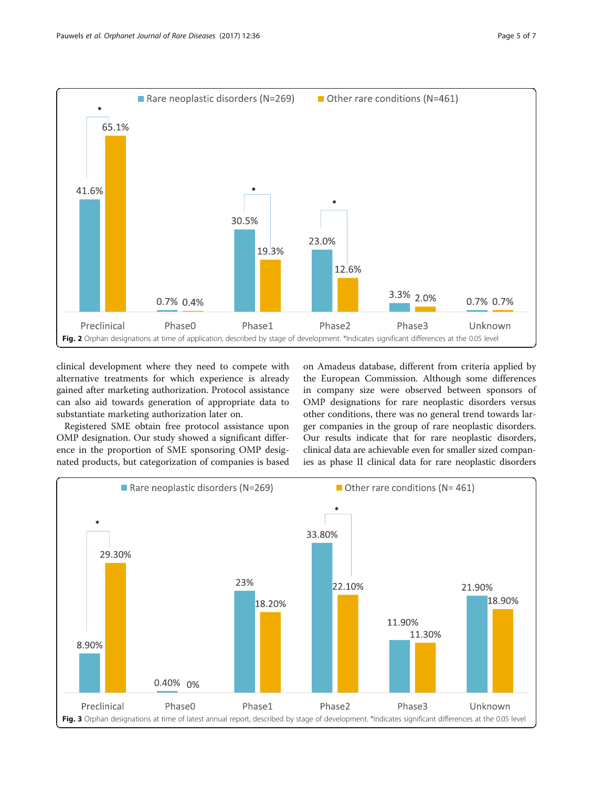<span id="page-4-0"></span>

clinical development where they need to compete with alternative treatments for which experience is already gained after marketing authorization. Protocol assistance can also aid towards generation of appropriate data to substantiate marketing authorization later on.

Registered SME obtain free protocol assistance upon OMP designation. Our study showed a significant difference in the proportion of SME sponsoring OMP designated products, but categorization of companies is based

on Amadeus database, different from criteria applied by the European Commission. Although some differences in company size were observed between sponsors of OMP designations for rare neoplastic disorders versus other conditions, there was no general trend towards larger companies in the group of rare neoplastic disorders. Our results indicate that for rare neoplastic disorders, clinical data are achievable even for smaller sized companies as phase II clinical data for rare neoplastic disorders

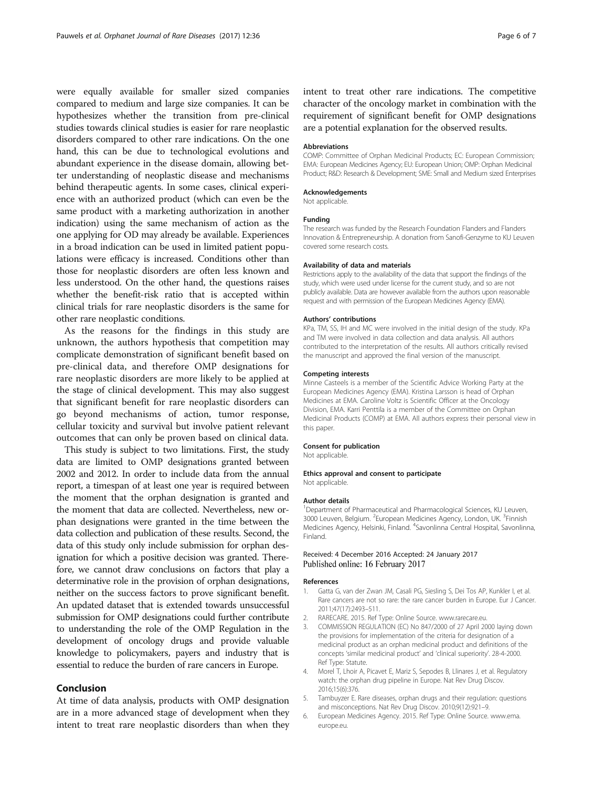<span id="page-5-0"></span>were equally available for smaller sized companies compared to medium and large size companies. It can be hypothesizes whether the transition from pre-clinical studies towards clinical studies is easier for rare neoplastic disorders compared to other rare indications. On the one hand, this can be due to technological evolutions and abundant experience in the disease domain, allowing better understanding of neoplastic disease and mechanisms behind therapeutic agents. In some cases, clinical experience with an authorized product (which can even be the same product with a marketing authorization in another indication) using the same mechanism of action as the one applying for OD may already be available. Experiences in a broad indication can be used in limited patient populations were efficacy is increased. Conditions other than those for neoplastic disorders are often less known and less understood. On the other hand, the questions raises whether the benefit-risk ratio that is accepted within clinical trials for rare neoplastic disorders is the same for other rare neoplastic conditions.

As the reasons for the findings in this study are unknown, the authors hypothesis that competition may complicate demonstration of significant benefit based on pre-clinical data, and therefore OMP designations for rare neoplastic disorders are more likely to be applied at the stage of clinical development. This may also suggest that significant benefit for rare neoplastic disorders can go beyond mechanisms of action, tumor response, cellular toxicity and survival but involve patient relevant outcomes that can only be proven based on clinical data.

This study is subject to two limitations. First, the study data are limited to OMP designations granted between 2002 and 2012. In order to include data from the annual report, a timespan of at least one year is required between the moment that the orphan designation is granted and the moment that data are collected. Nevertheless, new orphan designations were granted in the time between the data collection and publication of these results. Second, the data of this study only include submission for orphan designation for which a positive decision was granted. Therefore, we cannot draw conclusions on factors that play a determinative role in the provision of orphan designations, neither on the success factors to prove significant benefit. An updated dataset that is extended towards unsuccessful submission for OMP designations could further contribute to understanding the role of the OMP Regulation in the development of oncology drugs and provide valuable knowledge to policymakers, payers and industry that is essential to reduce the burden of rare cancers in Europe.

### Conclusion

At time of data analysis, products with OMP designation are in a more advanced stage of development when they intent to treat rare neoplastic disorders than when they

intent to treat other rare indications. The competitive character of the oncology market in combination with the requirement of significant benefit for OMP designations are a potential explanation for the observed results.

#### Abbreviations

COMP: Committee of Orphan Medicinal Products; EC: European Commission; EMA: European Medicines Agency; EU: European Union; OMP: Orphan Medicinal Product; R&D: Research & Development; SME: Small and Medium sized Enterprises

#### Acknowledgements

Not applicable.

#### Funding

The research was funded by the Research Foundation Flanders and Flanders Innovation & Entrepreneurship. A donation from Sanofi-Genzyme to KU Leuven covered some research costs.

#### Availability of data and materials

Restrictions apply to the availability of the data that support the findings of the study, which were used under license for the current study, and so are not publicly available. Data are however available from the authors upon reasonable request and with permission of the European Medicines Agency (EMA).

#### Authors' contributions

KPa, TM, SS, IH and MC were involved in the initial design of the study. KPa and TM were involved in data collection and data analysis. All authors contributed to the interpretation of the results. All authors critically revised the manuscript and approved the final version of the manuscript.

#### Competing interests

Minne Casteels is a member of the Scientific Advice Working Party at the European Medicines Agency (EMA). Kristina Larsson is head of Orphan Medicines at EMA. Caroline Voltz is Scientific Officer at the Oncology Division, EMA. Karri Penttila is a member of the Committee on Orphan Medicinal Products (COMP) at EMA. All authors express their personal view in this paper.

#### Consent for publication

Not applicable.

#### Ethics approval and consent to participate Not applicable.

#### Author details

<sup>1</sup>Department of Pharmaceutical and Pharmacological Sciences, KU Leuven, 3000 Leuven, Belgium. <sup>2</sup>European Medicines Agency, London, UK. <sup>3</sup>Finnish Medicines Agency, Helsinki, Finland. <sup>4</sup>Savonlinna Central Hospital, Savonlinna Finland.

#### Received: 4 December 2016 Accepted: 24 January 2017 Published online: 16 February 2017

#### References

- 1. Gatta G, van der Zwan JM, Casali PG, Siesling S, Dei Tos AP, Kunkler I, et al. Rare cancers are not so rare: the rare cancer burden in Europe. Eur J Cancer. 2011;47(17):2493–511.
- 2. RARECARE. 2015. Ref Type: Online Source. [www.rarecare.eu](http://www.rarecare.eu).
- 3. COMMISSION REGULATION (EC) No 847/2000 of 27 April 2000 laying down the provisions for implementation of the criteria for designation of a medicinal product as an orphan medicinal product and definitions of the concepts 'similar medicinal product' and 'clinical superiority'. 28-4-2000. Ref Type: Statute.
- 4. Morel T, Lhoir A, Picavet E, Mariz S, Sepodes B, Llinares J, et al. Regulatory watch: the orphan drug pipeline in Europe. Nat Rev Drug Discov. 2016;15(6):376.
- 5. Tambuyzer E. Rare diseases, orphan drugs and their regulation: questions and misconceptions. Nat Rev Drug Discov. 2010;9(12):921–9.
- 6. European Medicines Agency. 2015. Ref Type: Online Source. [www.ema.](http://www.ema.europe.eu) [europe.eu](http://www.ema.europe.eu).